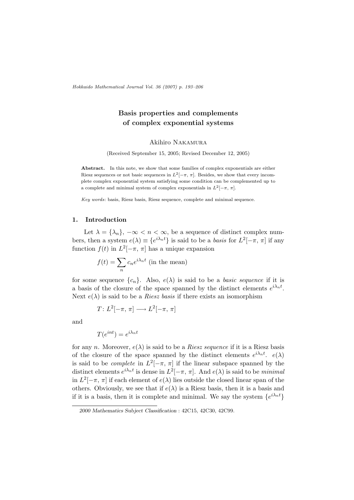Hokkaido Mathematical Journal Vol. 36 (2007) p. 193–206

# Basis properties and complements of complex exponential systems

Akihiro Nakamura

(Received September 15, 2005; Revised December 12, 2005)

Abstract. In this note, we show that some families of complex exponentials are either Riesz sequences or not basic sequences in  $L^2[-\pi, \pi]$ . Besides, we show that every incomplete complex exponential system satisfying some condition can be complemented up to a complete and minimal system of complex exponentials in  $L^2[-\pi, \pi]$ .

Key words: basis, Riesz basis, Riesz sequence, complete and minimal sequence.

### 1. Introduction

Let  $\lambda = {\lambda_n}$ ,  $-\infty < n < \infty$ , be a sequence of distinct complex numbers, then a system  $e(\lambda) \equiv \{e^{i\lambda_n t}\}\$ is said to be a *basis* for  $L^2[-\pi, \pi]$  if any function  $f(t)$  in  $L^2[-\pi, \pi]$  has a unique expansion

$$
f(t) = \sum_{n} c_n e^{i\lambda_n t}
$$
 (in the mean)

for some sequence  $\{c_n\}$ . Also,  $e(\lambda)$  is said to be a *basic sequence* if it is a basis of the closure of the space spanned by the distinct elements  $e^{i\lambda_n t}$ . Next  $e(\lambda)$  is said to be a *Riesz basis* if there exists an isomorphism

$$
T: L^2[-\pi, \pi] \longrightarrow L^2[-\pi, \pi]
$$

and

$$
T(e^{int}) = e^{i\lambda_n t}
$$

for any n. Moreover,  $e(\lambda)$  is said to be a *Riesz sequence* if it is a Riesz basis of the closure of the space spanned by the distinct elements  $e^{i\lambda_n t}$ .  $e(\lambda)$ is said to be *complete* in  $L^2[-\pi, \pi]$  if the linear subspace spanned by the distinct elements  $e^{i\lambda_n t}$  is dense in  $L^2[-\pi, \pi]$ . And  $e(\lambda)$  is said to be *minimal* in  $L^2[-\pi, \pi]$  if each element of  $e(\lambda)$  lies outside the closed linear span of the others. Obviously, we see that if  $e(\lambda)$  is a Riesz basis, then it is a basis and if it is a basis, then it is complete and minimal. We say the system  $\{e^{i\lambda_n t}\}$ 

<sup>2000</sup> Mathematics Subject Classification : 42C15, 42C30, 42C99.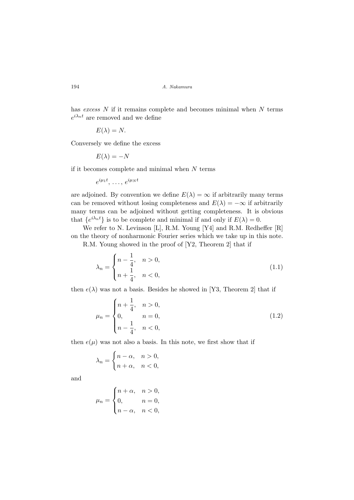has excess  $N$  if it remains complete and becomes minimal when  $N$  terms  $e^{i\lambda_n t}$  are removed and we define

$$
E(\lambda) = N.
$$

Conversely we define the excess

$$
E(\lambda) = -N
$$

if it becomes complete and minimal when  $N$  terms

$$
e^{i\mu_1 t},\ldots,e^{i\mu_N t}
$$

are adjoined. By convention we define  $E(\lambda) = \infty$  if arbitrarily many terms can be removed without losing completeness and  $E(\lambda) = -\infty$  if arbitrarily many terms can be adjoined without getting completeness. It is obvious that  $\{e^{i\lambda_n t}\}\$ is to be complete and minimal if and only if  $E(\lambda) = 0$ .

We refer to N. Levinson [L], R.M. Young [Y4] and R.M. Redheffer [R] on the theory of nonharmonic Fourier series which we take up in this note.

R.M. Young showed in the proof of [Y2, Theorem 2] that if

$$
\lambda_n = \begin{cases} n - \frac{1}{4}, & n > 0, \\ n + \frac{1}{4}, & n < 0, \end{cases} \tag{1.1}
$$

then  $e(\lambda)$  was not a basis. Besides he showed in [Y3, Theorem 2] that if

$$
\mu_n = \begin{cases} n + \frac{1}{4}, & n > 0, \\ 0, & n = 0, \\ n - \frac{1}{4}, & n < 0, \end{cases} \tag{1.2}
$$

then  $e(\mu)$  was not also a basis. In this note, we first show that if

$$
\lambda_n = \begin{cases} n - \alpha, & n > 0, \\ n + \alpha, & n < 0, \end{cases}
$$

and

$$
\mu_n = \begin{cases} n + \alpha, & n > 0, \\ 0, & n = 0, \\ n - \alpha, & n < 0, \end{cases}
$$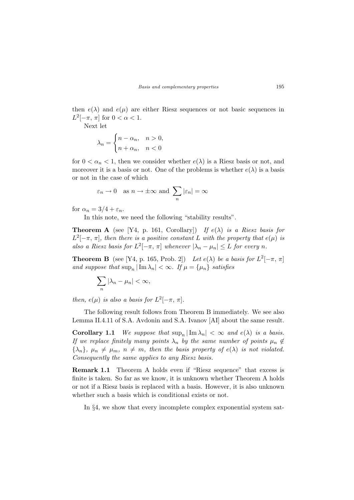then  $e(\lambda)$  and  $e(\mu)$  are either Riesz sequences or not basic sequences in  $L^2[-\pi, \pi]$  for  $0 < \alpha < 1$ .

Next let

$$
\lambda_n = \begin{cases} n - \alpha_n, & n > 0, \\ n + \alpha_n, & n < 0 \end{cases}
$$

for  $0 < \alpha_n < 1$ , then we consider whether  $e(\lambda)$  is a Riesz basis or not, and moreover it is a basis or not. One of the problems is whether  $e(\lambda)$  is a basis or not in the case of which

$$
\varepsilon_n \to 0
$$
 as  $n \to \pm \infty$  and  $\sum_n |\varepsilon_n| = \infty$ 

for  $\alpha_n = 3/4 + \varepsilon_n$ .

In this note, we need the following "stability results".

**Theorem A** (see [Y4, p. 161, Corollary]) If  $e(\lambda)$  is a Riesz basis for  $L^2[-\pi, \pi]$ , then there is a positive constant L with the property that  $e(\mu)$  is also a Riesz basis for  $L^2[-\pi, \pi]$  whenever  $|\lambda_n - \mu_n| \leq L$  for every n.

**Theorem B** (see [Y4, p. 165, Prob. 2]) Let  $e(\lambda)$  be a basis for  $L^2[-\pi, \pi]$ and suppose that  $\sup_n |\operatorname{Im} \lambda_n| < \infty$ . If  $\mu = {\mu_n}$  satisfies

$$
\sum_{n} |\lambda_n - \mu_n| < \infty,
$$

then,  $e(\mu)$  is also a basis for  $L^2[-\pi, \pi]$ .

The following result follows from Theorem B immediately. We see also Lemma II.4.11 of S.A. Avdonin and S.A. Ivanov [AI] about the same result.

**Corollary 1.1** We suppose that  $\sup_n |\operatorname{Im} \lambda_n| < \infty$  and  $e(\lambda)$  is a basis. If we replace finitely many points  $\lambda_n$  by the same number of points  $\mu_n \notin$  ${\lambda_n}, \mu_n \neq \mu_m, n \neq m$ , then the basis property of  $e(\lambda)$  is not violated. Consequently the same applies to any Riesz basis.

Remark 1.1 Theorem A holds even if "Riesz sequence" that excess is finite is taken. So far as we know, it is unknown whether Theorem A holds or not if a Riesz basis is replaced with a basis. However, it is also unknown whether such a basis which is conditional exists or not.

In §4, we show that every incomplete complex exponential system sat-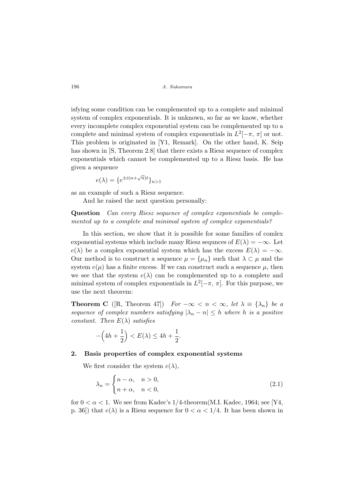isfying some condition can be complemented up to a complete and minimal system of complex exponentials. It is unknown, so far as we know, whether every incomplete complex exponential system can be complemented up to a complete and minimal system of complex exponentials in  $L^2[-\pi, \pi]$  or not. This problem is originated in [Y1, Remark]. On the other hand, K. Seip has shown in  $[S, Theorem 2.8]$  that there exists a Riesz sequence of complex exponentials which cannot be complemented up to a Riesz basis. He has given a sequence

$$
e(\lambda) = \{e^{\pm i(n+\sqrt{n})t}\}_{n>1}
$$

as an example of such a Riesz sequence.

And he raised the next question personally:

Question Can every Riesz sequence of complex exponentials be complemented up to a complete and minimal system of complex exponentials?

In this section, we show that it is possible for some families of comlex exponential systems which include many Riesz sequnces of  $E(\lambda) = -\infty$ . Let  $e(\lambda)$  be a complex exponential system which has the excess  $E(\lambda) = -\infty$ . Our method is to construct a sequence  $\mu = {\mu_n}$  such that  $\lambda \subset \mu$  and the system  $e(\mu)$  has a finite excess. If we can construct such a sequence  $\mu$ , then we see that the system  $e(\lambda)$  can be complemented up to a complete and minimal system of complex exponentials in  $L^2[-\pi, \pi]$ . For this purpose, we use the next theorem:

**Theorem C** ([R, Theorem 47]) For  $-\infty < n < \infty$ , let  $\lambda \equiv {\lambda_n}$  be a sequence of complex numbers satisfying  $|\lambda_n - n| \leq h$  where h is a positive constant. Then  $E(\lambda)$  satisfies

$$
-\left(4h+\frac{1}{2}\right) < E(\lambda) \le 4h+\frac{1}{2}.
$$

## 2. Basis properties of complex exponential systems

We first consider the system  $e(\lambda)$ ,

$$
\lambda_n = \begin{cases} n - \alpha, & n > 0, \\ n + \alpha, & n < 0, \end{cases} \tag{2.1}
$$

for  $0 < \alpha < 1$ . We see from Kadec's 1/4-theorem(M.I. Kadec, 1964; see [Y4, p. 36]) that  $e(\lambda)$  is a Riesz sequence for  $0 < \alpha < 1/4$ . It has been shown in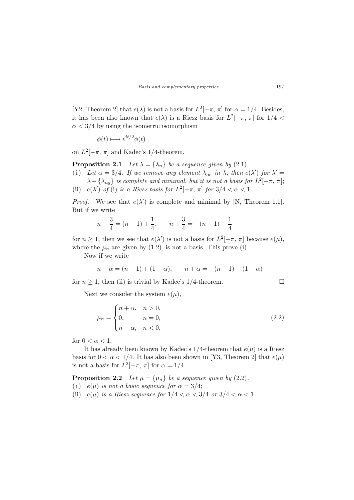[Y2, Theorem 2] that  $e(\lambda)$  is not a basis for  $L^2[-\pi, \pi]$  for  $\alpha = 1/4$ . Besides, it has been also known that  $e(\lambda)$  is a Riesz basis for  $L^2[-\pi, \pi]$  for  $1/4 <$  $\alpha$  < 3/4 by using the isometric isomorphism

$$
\phi(t) \longmapsto e^{it/2}\phi(t)
$$

on  $L^2[-\pi, \pi]$  and Kadec's 1/4-theorem.

**Proposition 2.1** Let  $\lambda = {\lambda_n}$  be a sequence given by (2.1).

- (i) Let  $\alpha = 3/4$ . If we remove any element  $\lambda_{n_0}$  in  $\lambda$ , then  $e(\lambda')$  for  $\lambda' =$  $\lambda - \{\lambda_{n_0}\}\$ is complete and minimal, but it is not a basis for  $L^2[-\pi, \pi]$ ;
- (ii)  $e(\lambda')$  of (i) is a Riesz basis for  $L^2[-\pi, \pi]$  for  $3/4 < \alpha < 1$ .

*Proof.* We see that  $e(\lambda')$  is complete and minimal by [N, Theorem 1.1]. But if we write

$$
n - \frac{3}{4} = (n - 1) + \frac{1}{4}, \quad -n + \frac{3}{4} = -(n - 1) - \frac{1}{4}
$$

for  $n \geq 1$ , then we see that  $e(\lambda')$  is not a basis for  $L^2[-\pi, \pi]$  because  $e(\mu)$ , where the  $\mu_n$  are given by (1.2), is not a basis. This prove (i).

Now if we write

$$
n - \alpha = (n - 1) + (1 - \alpha), \quad -n + \alpha = -(n - 1) - (1 - \alpha)
$$

for  $n \geq 1$ , then (ii) is trivial by Kadec's 1/4-theorem.

Next we consider the system  $e(\mu)$ ,

$$
\mu_n = \begin{cases} n+\alpha, & n>0, \\ 0, & n=0, \\ n-\alpha, & n<0, \end{cases} \tag{2.2}
$$

for  $0 < \alpha < 1$ .

It has already been known by Kadec's  $1/4$ -theorem that  $e(\mu)$  is a Riesz basis for  $0 < \alpha < 1/4$ . It has also been shown in [Y3, Theorem 2] that  $e(\mu)$ is not a basis for  $L^2[-\pi, \pi]$  for  $\alpha = 1/4$ .

**Proposition 2.2** Let  $\mu = {\mu_n}$  be a sequence given by (2.2).

- (i)  $e(\mu)$  is not a basic sequence for  $\alpha = 3/4$ ;
- (ii)  $e(\mu)$  is a Riesz sequence for  $1/4 < \alpha < 3/4$  or  $3/4 < \alpha < 1$ .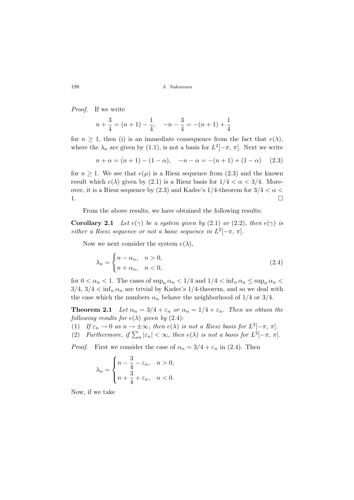Proof. If we write

$$
n + \frac{3}{4} = (n+1) - \frac{1}{4}, \quad -n - \frac{3}{4} = -(n+1) + \frac{1}{4}
$$

for  $n \geq 1$ , then (i) is an immediate consequence from the fact that  $e(\lambda)$ , where the  $\lambda_n$  are given by (1.1), is not a basis for  $L^2[-\pi, \pi]$ . Next we write

$$
n + \alpha = (n + 1) - (1 - \alpha), \quad -n - \alpha = -(n + 1) + (1 - \alpha) \quad (2.3)
$$

for  $n \geq 1$ . We see that  $e(\mu)$  is a Riesz sequence from (2.3) and the known result which  $e(\lambda)$  given by (2.1) is a Riesz basis for  $1/4 < \alpha < 3/4$ . Moreover, it is a Riesz sequence by (2.3) and Kadec's 1/4-theorem for  $3/4 < \alpha <$ 1.  $\Box$ 

From the above results, we have obtained the following results:

**Corollary 2.1** Let  $e(\gamma)$  be a system given by (2.1) or (2.2), then  $e(\gamma)$  is either a Riesz sequence or not a basic sequence in  $L^2[-\pi, \pi]$ .

Now we next consider the system  $e(\lambda)$ ,

$$
\lambda_n = \begin{cases} n - \alpha_n, & n > 0, \\ n + \alpha_n, & n < 0, \end{cases} \tag{2.4}
$$

for  $0 < \alpha_n < 1$ . The cases of  $\sup_n \alpha_n < 1/4$  and  $1/4 < \inf_n \alpha_n \leq \sup_n \alpha_n <$  $3/4$ ,  $3/4 < \inf_n \alpha_n$  are trivial by Kadec's 1/4-theorem, and so we deal with the case which the numbers  $\alpha_n$  behave the neighborhood of 1/4 or 3/4.

**Theorem 2.1** Let  $\alpha_n = 3/4 + \varepsilon_n$  or  $\alpha_n = 1/4 + \varepsilon_n$ . Then we obtain the following results for  $e(\lambda)$  given by (2.4):

(1) If  $\varepsilon_n \to 0$  as  $n \to \pm \infty$ , then  $e(\lambda)$  is not a Riesz basis for  $L^2[-\pi, \pi]$ .

(1)  $I_j \varepsilon_n \to 0$  as  $n \to \pm \infty$ , then  $e(\lambda)$  is not a hasis for  $L^2[-\pi, \pi]$ .<br>
(2) Furthermore, if  $\sum_n |\varepsilon_n| < \infty$ , then  $e(\lambda)$  is not a basis for  $L^2[-\pi, \pi]$ .

*Proof.* First we consider the case of  $\alpha_n = 3/4 + \varepsilon_n$  in (2.4). Then

$$
\lambda_n = \begin{cases} n - \frac{3}{4} - \varepsilon_n, & n > 0, \\ n + \frac{3}{4} + \varepsilon_n, & n < 0. \end{cases}
$$

Now, if we take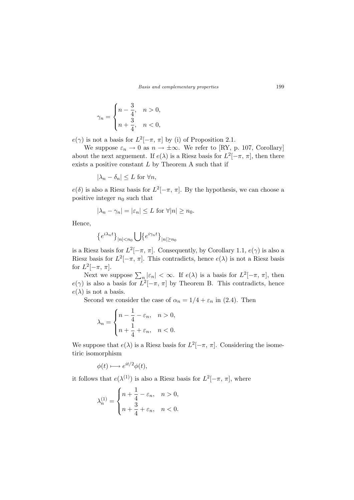$$
\gamma_n = \begin{cases} n - \frac{3}{4}, & n > 0, \\ n + \frac{3}{4}, & n < 0, \end{cases}
$$

 $e(\gamma)$  is not a basis for  $L^2[-\pi, \pi]$  by (i) of Proposition 2.1.

We suppose  $\varepsilon_n \to 0$  as  $n \to \pm \infty$ . We refer to [RY, p. 107, Corollary] about the next arguement. If  $e(\lambda)$  is a Riesz basis for  $L^2[-\pi, \pi]$ , then there exists a positive constant  $L$  by Theorem A such that if

 $|\lambda_n - \delta_n| \leq L$  for  $\forall n$ ,

 $e(\delta)$  is also a Riesz basis for  $L^2[-\pi, \pi]$ . By the hypothesis, we can choose a positive integer  $n_0$  such that

$$
|\lambda_n - \gamma_n| = |\varepsilon_n| \le L \text{ for } \forall |n| \ge n_0.
$$

Hence,

$$
\{e^{i\lambda_nt}\}_{|n|
$$

is a Riesz basis for  $L^2[-\pi, \pi]$ . Consequently, by Corollary 1.1,  $e(\gamma)$  is also a Riesz basis for  $L^2[-\pi, \pi]$ . This contradicts, hence  $e(\lambda)$  is not a Riesz basis for  $L^2[-\pi, \pi]$ .

Next we suppose  $\sum_{n} |\varepsilon_{n}| < \infty$ . If  $e(\lambda)$  is a basis for  $L^{2}[-\pi, \pi]$ , then  $e(\gamma)$  is also a basis for  $L^2[-\pi, \pi]$  by Theorem B. This contradicts, hence  $e(\lambda)$  is not a basis.

Second we consider the case of  $\alpha_n = 1/4 + \varepsilon_n$  in (2.4). Then

$$
\lambda_n = \begin{cases} n - \frac{1}{4} - \varepsilon_n, & n > 0, \\ n + \frac{1}{4} + \varepsilon_n, & n < 0. \end{cases}
$$

We suppose that  $e(\lambda)$  is a Riesz basis for  $L^2[-\pi, \pi]$ . Considering the isometiric isomorphism

$$
\phi(t) \longmapsto e^{it/2}\phi(t),
$$

it follows that  $e(\lambda^{(1)})$  is also a Riesz basis for  $L^2[-\pi, \pi]$ , where

$$
\lambda_n^{(1)}=\begin{cases}n+\dfrac{1}{4}-\varepsilon_n, & n>0,\\ n+\dfrac{3}{4}+\varepsilon_n, & n<0.\end{cases}
$$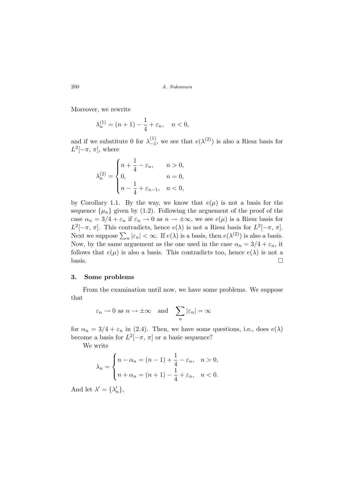Moreover, we rewrite

$$
\lambda_n^{(1)} = (n+1) - \frac{1}{4} + \varepsilon_n, \quad n < 0,
$$

and if we substitute 0 for  $\lambda_{-1}^{(1)}$  $\binom{11}{-1}$ , we see that  $e(\lambda^{(2)})$  is also a Riesz basis for  $L^2[-\pi, \pi]$ , where

$$
\lambda_n^{(2)}=\begin{cases} n+\frac{1}{4}-\varepsilon_n, & n>0,\\ 0, & n=0,\\ n-\frac{1}{4}+\varepsilon_{n-1}, & n<0,\end{cases}
$$

by Corollary 1.1. By the way, we know that  $e(\mu)$  is not a basis for the sequence  $\{\mu_n\}$  given by (1.2). Following the arguement of the proof of the case  $\alpha_n = 3/4 + \varepsilon_n$  if  $\varepsilon_n \to 0$  as  $n \to \pm \infty$ , we see  $e(\mu)$  is a Riesz basis for  $L^2[-\pi, \pi]$ . This contradicts, hence  $e(\lambda)$  is not a Riesz basis for  $L^2[-\pi, \pi]$ .  $L$  [-n, n]. This contradicts, hence  $e(\lambda)$  is not a ruesz basis for  $L$  [-n, n].<br>Next we suppose  $\sum_n |\varepsilon_n| < \infty$ . If  $e(\lambda)$  is a basis, then  $e(\lambda^{(2)})$  is also a basis. Now, by the same arguement as the one used in the case  $\alpha_n = 3/4 + \varepsilon_n$ , it follows that  $e(\mu)$  is also a basis. This contradicts too, hence  $e(\lambda)$  is not a basis.  $\Box$ 

### 3. Some problems

From the examination until now, we have some problems. We suppose that

$$
\varepsilon_n \to 0
$$
 as  $n \to \pm \infty$  and  $\sum_n |\varepsilon_n| = \infty$ 

for  $\alpha_n = 3/4 + \varepsilon_n$  in (2.4). Then, we have some questions, i.e., does  $e(\lambda)$ become a basis for  $L^2[-\pi, \pi]$  or a basic sequence?

We write

$$
\lambda_n = \begin{cases} n - \alpha_n = (n - 1) + \frac{1}{4} - \varepsilon_n, & n > 0, \\ n + \alpha_n = (n + 1) - \frac{1}{4} + \varepsilon_n, & n < 0. \end{cases}
$$

And let  $\lambda' = {\lambda'_n}$ ,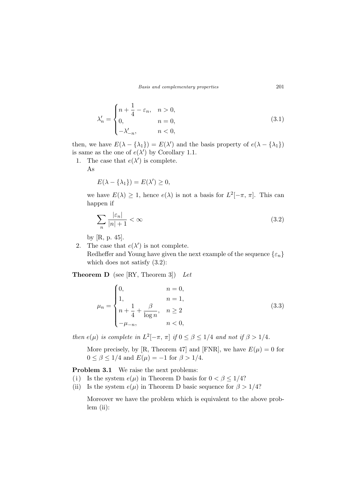Basis and complementary properties 201

$$
\lambda'_n = \begin{cases}\nn + \frac{1}{4} - \varepsilon_n, & n > 0, \\
0, & n = 0, \\
-\lambda'_{-n}, & n < 0,\n\end{cases} \tag{3.1}
$$

then, we have  $E(\lambda - \{\lambda_1\}) = E(\lambda')$  and the basis property of  $e(\lambda - \{\lambda_1\})$ is same as the one of  $e(\lambda')$  by Corollary 1.1.

1. The case that  $e(\lambda')$  is complete.

As

$$
E(\lambda - \{\lambda_1\}) = E(\lambda') \ge 0,
$$

we have  $E(\lambda) \geq 1$ , hence  $e(\lambda)$  is not a basis for  $L^2[-\pi, \pi]$ . This can happen if

$$
\sum_{n} \frac{|\varepsilon_n|}{|n|+1} < \infty \tag{3.2}
$$

by [R, p. 45].

2. The case that  $e(\lambda')$  is not complete. Redheffer and Young have given the next example of the sequence  $\{\varepsilon_n\}$ which does not satisfy (3.2):

**Theorem D** (see [RY, Theorem 3]) Let

$$
\mu_n = \begin{cases}\n0, & n = 0, \\
1, & n = 1, \\
n + \frac{1}{4} + \frac{\beta}{\log n}, & n \ge 2 \\
-\mu_{-n}, & n < 0,\n\end{cases}
$$
\n(3.3)

then  $e(\mu)$  is complete in  $L^2[-\pi, \pi]$  if  $0 \le \beta \le 1/4$  and not if  $\beta > 1/4$ .

More precisely, by [R, Theorem 47] and [FNR], we have  $E(\mu) = 0$  for  $0 \leq \beta \leq 1/4$  and  $E(\mu) = -1$  for  $\beta > 1/4$ .

Problem 3.1 We raise the next problems:

- (i) Is the system  $e(\mu)$  in Theorem D basis for  $0 < \beta \leq 1/4$ ?
- (ii) Is the system  $e(\mu)$  in Theorem D basic sequence for  $\beta > 1/4$ ?

Moreover we have the problem which is equivalent to the above problem (ii):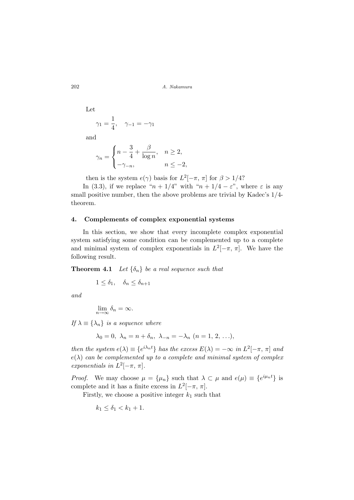Let  $\gamma_1 = \frac{1}{4}$  $\frac{1}{4}$ ,  $\gamma_{-1} = -\gamma_1$ 

and

$$
\gamma_n = \begin{cases} n - \frac{3}{4} + \frac{\beta}{\log n}, & n \ge 2, \\ -\gamma_{-n}, & n \le -2, \end{cases}
$$

then is the system  $e(\gamma)$  basis for  $L^2[-\pi, \pi]$  for  $\beta > 1/4$ ?

In (3.3), if we replace " $n + 1/4$ " with " $n + 1/4 - \varepsilon$ ", where  $\varepsilon$  is any small positive number, then the above problems are trivial by Kadec's 1/4 theorem.

#### 4. Complements of complex exponential systems

In this section, we show that every incomplete complex exponential system satisfying some condition can be complemented up to a complete and minimal system of complex exponentials in  $L^2[-\pi, \pi]$ . We have the following result.

**Theorem 4.1** Let  $\{\delta_n\}$  be a real sequence such that

 $1 \leq \delta_1, \quad \delta_n \leq \delta_{n+1}$ 

and

$$
\lim_{n \to \infty} \delta_n = \infty.
$$

If  $\lambda \equiv {\lambda_n}$  is a sequence where

$$
\lambda_0 = 0, \lambda_n = n + \delta_n, \lambda_{-n} = -\lambda_n \ (n = 1, 2, \ldots),
$$

then the system  $e(\lambda) \equiv \{e^{i\lambda_n t}\}\$  has the excess  $E(\lambda) = -\infty$  in  $L^2[-\pi, \pi]$  and  $e(\lambda)$  can be complemented up to a complete and minimal system of complex exponentials in  $L^2[-\pi, \pi]$ .

*Proof.* We may choose  $\mu = {\mu_n}$  such that  $\lambda \subset \mu$  and  $e(\mu) \equiv \{e^{i\mu_n t}\}\$ is complete and it has a finite excess in  $L^2[-\pi, \pi]$ .

Firstly, we choose a positive integer  $k_1$  such that

$$
k_1 \leq \delta_1 < k_1 + 1.
$$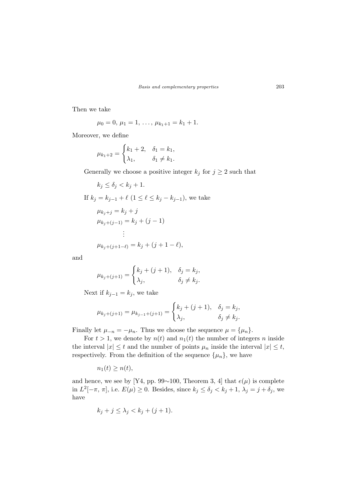Then we take

$$
\mu_0=0, \, \mu_1=1, \, \ldots, \, \mu_{k_1+1}=k_1+1.
$$

Moreover, we define

$$
\mu_{k_1+2} = \begin{cases} k_1 + 2, & \delta_1 = k_1, \\ \lambda_1, & \delta_1 \neq k_1. \end{cases}
$$

Generally we choose a positive integer  $k_j$  for  $j \geq 2$  such that

$$
k_j \le \delta_j < k_j + 1.
$$
\nIf  $k_j = k_{j-1} + \ell \ (1 \le \ell \le k_j - k_{j-1}),$  we take

\n
$$
\mu_{k_j + j} = k_j + j
$$
\n
$$
\mu_{k_j + (j-1)} = k_j + (j-1)
$$
\n
$$
\vdots
$$
\n
$$
\mu_{k_j + (j+1-\ell)} = k_j + (j+1-\ell),
$$

and

$$
\mu_{k_j+(j+1)} = \begin{cases} k_j + (j+1), & \delta_j = k_j, \\ \lambda_j, & \delta_j \neq k_j. \end{cases}
$$

Next if  $k_{j-1} = k_j$ , we take

$$
\mu_{k_j + (j+1)} = \mu_{k_{j-1} + (j+1)} = \begin{cases} k_j + (j+1), & \delta_j = k_j, \\ \lambda_j, & \delta_j \neq k_j. \end{cases}
$$

Finally let  $\mu_{-n} = -\mu_n$ . Thus we choose the sequence  $\mu = {\mu_n}$ .

For  $t > 1$ , we denote by  $n(t)$  and  $n_1(t)$  the number of integers n inside the interval  $|x| \leq t$  and the number of points  $\mu_n$  inside the interval  $|x| \leq t$ , respectively. From the definition of the sequence  $\{\mu_n\}$ , we have

 $n_1(t) \geq n(t)$ ,

and hence, we see by [Y4, pp. 99∼100, Theorem 3, 4] that  $e(\mu)$  is complete in  $L^2[-\pi, \pi]$ , i.e.  $E(\mu) \ge 0$ . Besides, since  $k_j \le \delta_j < k_j + 1$ ,  $\lambda_j = j + \delta_j$ , we have

$$
k_j + j \leq \lambda_j < k_j + (j+1).
$$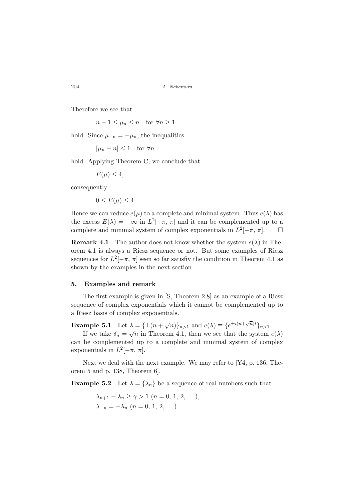Therefore we see that

 $n-1 \leq \mu_n \leq n$  for  $\forall n \geq 1$ 

hold. Since  $\mu_{-n} = -\mu_n$ , the inequalities

 $|\mu_n - n| \leq 1$  for  $\forall n$ 

hold. Applying Theorem C, we conclude that

 $E(\mu) \leq 4$ ,

consequently

$$
0 \le E(\mu) \le 4.
$$

Hence we can reduce  $e(\mu)$  to a complete and minimal system. Thus  $e(\lambda)$  has the excess  $E(\lambda) = -\infty$  in  $L^2[-\pi, \pi]$  and it can be complemented up to a complete and minimal system of complex exponentials in  $L^2[-\pi, \pi]$ .  $\Box$ 

**Remark 4.1** The author does not know whether the system  $e(\lambda)$  in Theorem 4.1 is always a Riesz sequence or not. But some examples of Riesz sequences for  $L^2[-\pi, \pi]$  seen so far satisfiy the condition in Theorem 4.1 as shown by the examples in the next section.

#### 5. Examples and remark

The first example is given in [S, Theorem 2.8] as an example of a Riesz sequence of complex exponentials which it cannot be complemented up to a Riesz basis of complex exponentials.

Example 5.1 Let  $\lambda = {\pm (n + \sqrt{n})}_{n>1}$  and  $e(\lambda) \equiv {e^{\pm i(n + \sqrt{n})t}}_{n>1}$ .

If we take  $\delta_n = \sqrt{n}$  in Theorem 4.1, then we see that the system  $e(\lambda)$ can be complemented up to a complete and minimal system of complex exponentials in  $L^2[-\pi, \pi]$ .

Next we deal with the next example. We may refer to [Y4, p. 136, Theorem 5 and p. 138, Theorem 6].

**Example 5.2** Let  $\lambda = {\lambda_n}$  be a sequence of real numbers such that

$$
\lambda_{n+1} - \lambda_n \ge \gamma > 1 \ (n = 0, 1, 2, \ldots),
$$
  

$$
\lambda_{-n} = -\lambda_n \ (n = 0, 1, 2, \ldots).
$$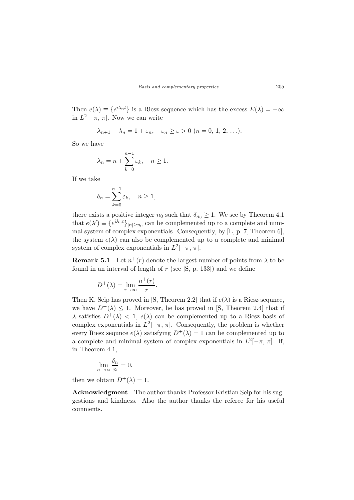Then  $e(\lambda) \equiv \{e^{i\lambda_n t}\}\$ is a Riesz sequence which has the excess  $E(\lambda) = -\infty$ in  $L^2[-\pi, \pi]$ . Now we can write

$$
\lambda_{n+1} - \lambda_n = 1 + \varepsilon_n, \quad \varepsilon_n \ge \varepsilon > 0 \ (n = 0, 1, 2, \ldots).
$$

So we have

$$
\lambda_n = n + \sum_{k=0}^{n-1} \varepsilon_k, \quad n \ge 1.
$$

If we take

$$
\delta_n = \sum_{k=0}^{n-1} \varepsilon_k, \quad n \ge 1,
$$

there exists a positive integer  $n_0$  such that  $\delta_{n_0} \geq 1$ . We see by Theorem 4.1 that  $e(\lambda') \equiv \{e^{i\lambda_n t}\}_{|n| \ge n_0}$  can be complemented up to a complete and minimal system of complex exponentials. Consequently, by [L, p. 7, Theorem 6], the system  $e(\lambda)$  can also be complemented up to a complete and minimal system of complex exponentials in  $L^2[-\pi, \pi]$ .

**Remark 5.1** Let  $n^+(r)$  denote the largest number of points from  $\lambda$  to be found in an interval of length of  $r$  (see  $[S, p. 133]$ ) and we define

$$
D^{+}(\lambda) = \lim_{r \to \infty} \frac{n^{+}(r)}{r}.
$$

Then K. Seip has proved in [S, Theorem 2.2] that if  $e(\lambda)$  is a Riesz sequnce, we have  $D^+(\lambda) \leq 1$ . Moreover, he has proved in [S, Theorem 2.4] that if  $\lambda$  satisfies  $D^+(\lambda) < 1$ ,  $e(\lambda)$  can be complemented up to a Riesz basis of complex exponentials in  $L^2[-\pi, \pi]$ . Consequently, the problem is whether every Riesz sequnce  $e(\lambda)$  satisfying  $D^+(\lambda) = 1$  can be complemented up to a complete and minimal system of complex exponentials in  $L^2[-\pi, \pi]$ . If, in Theorem 4.1,

$$
\lim_{n \to \infty} \frac{\delta_n}{n} = 0,
$$

then we obtain  $D^+(\lambda) = 1$ .

Acknowledgment The author thanks Professor Kristian Seip for his suggestions and kindness. Also the author thanks the referee for his useful comments.